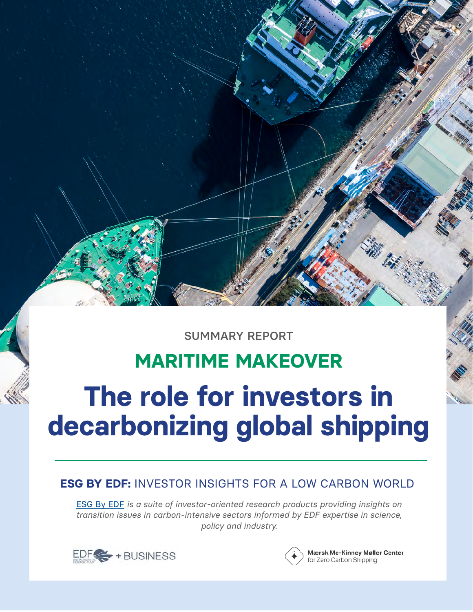SUMMARY REPORT

# **MARITIME MAKEOVER**

# **The role for investors in decarbonizing global shipping**

## **ESG BY EDF:** INVESTOR INSIGHTS FOR A LOW CARBON WORLD

[ESG By EDF](https://business.edf.org/esg-by-edf-actionable-insights-for-a-decarbonizing-world/) *is a suite of investor-oriented research products providing insights on transition issues in carbon-intensive sectors informed by EDF expertise in science, policy and industry.*





Mærsk Mc-Kinney Møller Center for Zero Carbon Shipping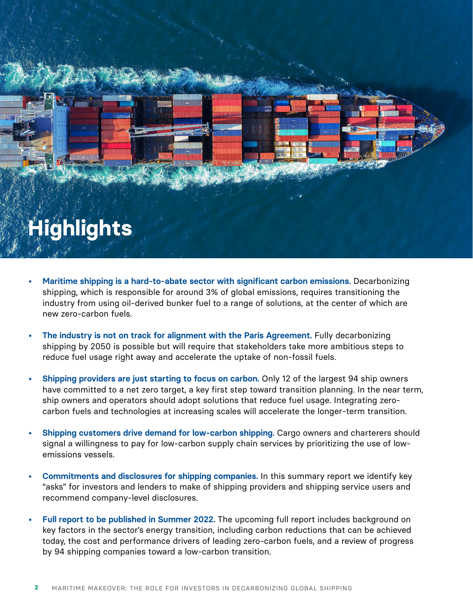# **Highlights**

- **• Maritime shipping is a hard-to-abate sector with significant carbon emissions.** Decarbonizing shipping, which is responsible for around 3% of global emissions, requires transitioning the industry from using oil-derived bunker fuel to a range of solutions, at the center of which are new zero-carbon fuels.
- **• The industry is not on track for alignment with the Paris Agreement.** Fully decarbonizing shipping by 2050 is possible but will require that stakeholders take more ambitious steps to reduce fuel usage right away and accelerate the uptake of non-fossil fuels.
- **• Shipping providers are just starting to focus on carbon.** Only 12 of the largest 94 ship owners have committed to a net zero target, a key first step toward transition planning. In the near term, ship owners and operators should adopt solutions that reduce fuel usage. Integrating zerocarbon fuels and technologies at increasing scales will accelerate the longer-term transition.
- **• Shipping customers drive demand for low-carbon shipping.** Cargo owners and charterers should signal a willingness to pay for low-carbon supply chain services by prioritizing the use of lowemissions vessels.
- **• Commitments and disclosures for shipping companies.** In this summary report we identify key "asks" for investors and lenders to make of shipping providers and shipping service users and recommend company-level disclosures.
- **• Full report to be published in Summer 2022.** The upcoming full report includes background on key factors in the sector's energy transition, including carbon reductions that can be achieved today, the cost and performance drivers of leading zero-carbon fuels, and a review of progress by 94 shipping companies toward a low-carbon transition.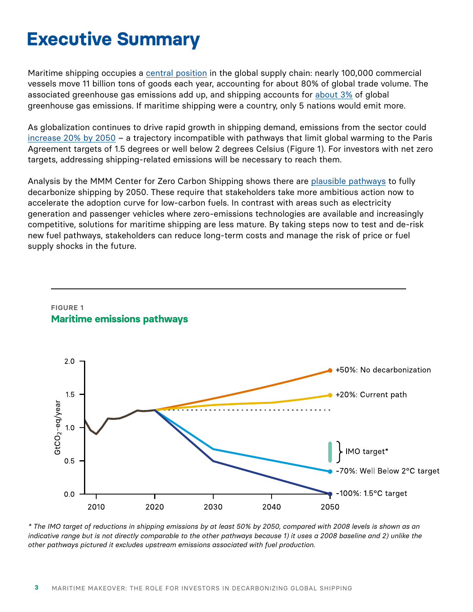# **Executive Summary**

Maritime shipping occupies a [central position](https://cms.zerocarbonshipping.com/media/uploads/documents/MMMCZCS_Industry-Transition-Strategy_Oct_2021.pdf) in the global supply chain: nearly 100,000 commercial vessels move 11 billion tons of goods each year, accounting for about 80% of global trade volume. The associated greenhouse gas emissions add up, and shipping accounts for [about 3%](https://wwwcdn.imo.org/localresources/en/OurWork/Environment/Documents/Fourth%20IMO%20GHG%20Study%202020%20-%20Full%20report%20and%20annexes.pdf) of global greenhouse gas emissions. If maritime shipping were a country, only 5 nations would emit more.

As globalization continues to drive rapid growth in shipping demand, emissions from the sector could [increase 20% by 2050](https://www.zerocarbonshipping.com/) - a trajectory incompatible with pathways that limit global warming to the Paris Agreement targets of 1.5 degrees or well below 2 degrees Celsius (Figure 1). For investors with net zero targets, addressing shipping-related emissions will be necessary to reach them.

Analysis by the MMM Center for Zero Carbon Shipping shows there are [plausible pathways](https://www.zerocarbonshipping.com/) to fully decarbonize shipping by 2050. These require that stakeholders take more ambitious action now to accelerate the adoption curve for low-carbon fuels. In contrast with areas such as electricity generation and passenger vehicles where zero-emissions technologies are available and increasingly competitive, solutions for maritime shipping are less mature. By taking steps now to test and de-risk new fuel pathways, stakeholders can reduce long-term costs and manage the risk of price or fuel supply shocks in the future.

#### **FIGURE 1 Maritime emissions pathways**



*\* The IMO target of reductions in shipping emissions by at least 50% by 2050, compared with 2008 levels is shown as an indicative range but is not directly comparable to the other pathways because 1) it uses a 2008 baseline and 2) unlike the other pathways pictured it excludes upstream emissions associated with fuel production.*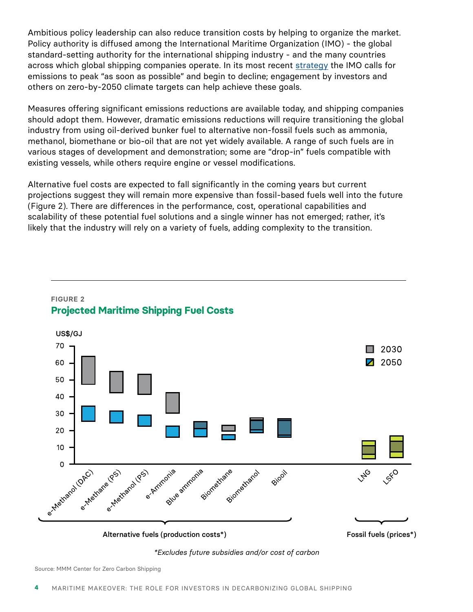Ambitious policy leadership can also reduce transition costs by helping to organize the market. Policy authority is diffused among the International Maritime Organization (IMO) - the global standard-setting authority for the international shipping industry - and the many countries across which global shipping companies operate. In its most recent [strategy](https://www.imo.org/en/MediaCentre/PressBriefings/Pages/06GHGinitialstrategy.aspx) the IMO calls for emissions to peak "as soon as possible" and begin to decline; engagement by investors and others on zero-by-2050 climate targets can help achieve these goals.

Measures offering significant emissions reductions are available today, and shipping companies should adopt them. However, dramatic emissions reductions will require transitioning the global industry from using oil-derived bunker fuel to alternative non-fossil fuels such as ammonia, methanol, biomethane or bio-oil that are not yet widely available. A range of such fuels are in various stages of development and demonstration; some are "drop-in" fuels compatible with existing vessels, while others require engine or vessel modifications.

Alternative fuel costs are expected to fall significantly in the coming years but current projections suggest they will remain more expensive than fossil-based fuels well into the future (Figure 2). There are differences in the performance, cost, operational capabilities and scalability of these potential fuel solutions and a single winner has not emerged; rather, it's likely that the industry will rely on a variety of fuels, adding complexity to the transition.



#### **FIGURE 2 Projected Maritime Shipping Fuel Costs**

*\*Excludes future subsidies and/or cost of carbon*

Source: MMM Center for Zero Carbon Shipping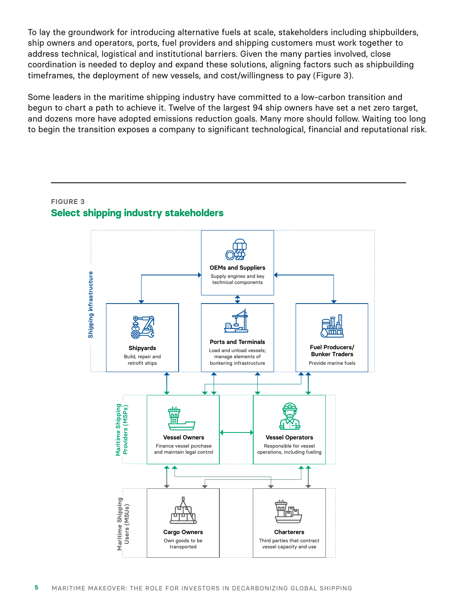To lay the groundwork for introducing alternative fuels at scale, stakeholders including shipbuilders, ship owners and operators, ports, fuel providers and shipping customers must work together to address technical, logistical and institutional barriers. Given the many parties involved, close coordination is needed to deploy and expand these solutions, aligning factors such as shipbuilding timeframes, the deployment of new vessels, and cost/willingness to pay (Figure 3).

Some leaders in the maritime shipping industry have committed to a low-carbon transition and begun to chart a path to achieve it. Twelve of the largest 94 ship owners have set a net zero target, and dozens more have adopted emissions reduction goals. Many more should follow. Waiting too long to begin the transition exposes a company to significant technological, financial and reputational risk.

#### **FIGURE 3 Select shipping industry stakeholders**

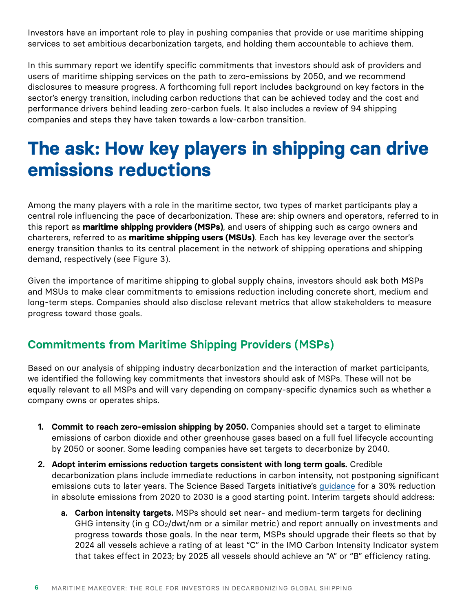Investors have an important role to play in pushing companies that provide or use maritime shipping services to set ambitious decarbonization targets, and holding them accountable to achieve them.

In this summary report we identify specific commitments that investors should ask of providers and users of maritime shipping services on the path to zero-emissions by 2050, and we recommend disclosures to measure progress. A forthcoming full report includes background on key factors in the sector's energy transition, including carbon reductions that can be achieved today and the cost and performance drivers behind leading zero-carbon fuels. It also includes a review of 94 shipping companies and steps they have taken towards a low-carbon transition.

# **The ask: How key players in shipping can drive emissions reductions**

Among the many players with a role in the maritime sector, two types of market participants play a central role influencing the pace of decarbonization. These are: ship owners and operators, referred to in this report as **maritime shipping providers (MSPs)**, and users of shipping such as cargo owners and charterers, referred to as **maritime shipping users (MSUs)**. Each has key leverage over the sector's energy transition thanks to its central placement in the network of shipping operations and shipping demand, respectively (see Figure 3).

Given the importance of maritime shipping to global supply chains, investors should ask both MSPs and MSUs to make clear commitments to emissions reduction including concrete short, medium and long-term steps. Companies should also disclose relevant metrics that allow stakeholders to measure progress toward those goals.

### **Commitments from Maritime Shipping Providers (MSPs)**

Based on our analysis of shipping industry decarbonization and the interaction of market participants, we identified the following key commitments that investors should ask of MSPs. These will not be equally relevant to all MSPs and will vary depending on company-specific dynamics such as whether a company owns or operates ships.

- **1. Commit to reach zero-emission shipping by 2050.** Companies should set a target to eliminate emissions of carbon dioxide and other greenhouse gases based on a full fuel lifecycle accounting by 2050 or sooner. Some leading companies have set targets to decarbonize by 2040.
- **2. Adopt interim emissions reduction targets consistent with long term goals.** Credible decarbonization plans include immediate reductions in carbon intensity, not postponing significant emissions cuts to later years. The Science Based Targets initiative's [guidance](https://sciencebasedtargets.org/resources/files/SBTi-Net-Zero-Standard-Corporate-Manual-Criteria-V1.0.pdf) for a 30% reduction in absolute emissions from 2020 to 2030 is a good starting point. Interim targets should address:
	- **a. Carbon intensity targets.** MSPs should set near- and medium-term targets for declining GHG intensity (in g CO2/dwt/nm or a similar metric) and report annually on investments and progress towards those goals. In the near term, MSPs should upgrade their fleets so that by 2024 all vessels achieve a rating of at least "C" in the IMO Carbon Intensity Indicator system that takes effect in 2023; by 2025 all vessels should achieve an "A" or "B" efficiency rating.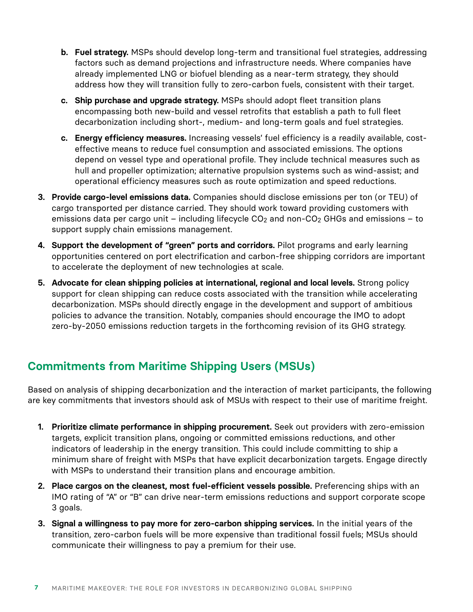- **b. Fuel strategy.** MSPs should develop long-term and transitional fuel strategies, addressing factors such as demand projections and infrastructure needs. Where companies have already implemented LNG or biofuel blending as a near-term strategy, they should address how they will transition fully to zero-carbon fuels, consistent with their target.
- **c. Ship purchase and upgrade strategy.** MSPs should adopt fleet transition plans encompassing both new-build and vessel retrofits that establish a path to full fleet decarbonization including short-, medium- and long-term goals and fuel strategies.
- **c. Energy efficiency measures.** Increasing vessels' fuel efficiency is a readily available, costeffective means to reduce fuel consumption and associated emissions. The options depend on vessel type and operational profile. They include technical measures such as hull and propeller optimization; alternative propulsion systems such as wind-assist; and operational efficiency measures such as route optimization and speed reductions.
- **3. Provide cargo-level emissions data.** Companies should disclose emissions per ton (or TEU) of cargo transported per distance carried. They should work toward providing customers with emissions data per cargo unit – including lifecycle  $CO<sub>2</sub>$  and non- $CO<sub>2</sub>$  GHGs and emissions – to support supply chain emissions management.
- **4. Support the development of "green" ports and corridors.** Pilot programs and early learning opportunities centered on port electrification and carbon-free shipping corridors are important to accelerate the deployment of new technologies at scale.
- **5. Advocate for clean shipping policies at international, regional and local levels.** Strong policy support for clean shipping can reduce costs associated with the transition while accelerating decarbonization. MSPs should directly engage in the development and support of ambitious policies to advance the transition. Notably, companies should encourage the IMO to adopt zero-by-2050 emissions reduction targets in the forthcoming revision of its GHG strategy.

### **Commitments from Maritime Shipping Users (MSUs)**

Based on analysis of shipping decarbonization and the interaction of market participants, the following are key commitments that investors should ask of MSUs with respect to their use of maritime freight.

- **1. Prioritize climate performance in shipping procurement.** Seek out providers with zero-emission targets, explicit transition plans, ongoing or committed emissions reductions, and other indicators of leadership in the energy transition. This could include committing to ship a minimum share of freight with MSPs that have explicit decarbonization targets. Engage directly with MSPs to understand their transition plans and encourage ambition.
- **2. Place cargos on the cleanest, most fuel-efficient vessels possible.** Preferencing ships with an IMO rating of "A" or "B" can drive near-term emissions reductions and support corporate scope 3 goals.
- **3. Signal a willingness to pay more for zero-carbon shipping services.** In the initial years of the transition, zero-carbon fuels will be more expensive than traditional fossil fuels; MSUs should communicate their willingness to pay a premium for their use.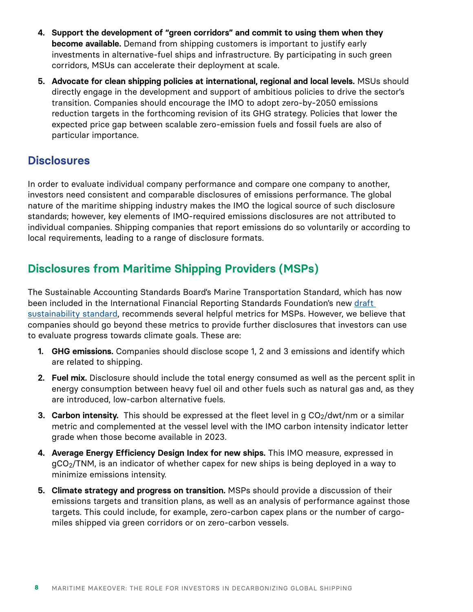- **4. Support the development of "green corridors" and commit to using them when they become available.** Demand from shipping customers is important to justify early investments in alternative-fuel ships and infrastructure. By participating in such green corridors, MSUs can accelerate their deployment at scale.
- **5. Advocate for clean shipping policies at international, regional and local levels.** MSUs should directly engage in the development and support of ambitious policies to drive the sector's transition. Companies should encourage the IMO to adopt zero-by-2050 emissions reduction targets in the forthcoming revision of its GHG strategy. Policies that lower the expected price gap between scalable zero-emission fuels and fossil fuels are also of particular importance.

### **Disclosures**

In order to evaluate individual company performance and compare one company to another, investors need consistent and comparable disclosures of emissions performance. The global nature of the maritime shipping industry makes the IMO the logical source of such disclosure standards; however, key elements of IMO-required emissions disclosures are not attributed to individual companies. Shipping companies that report emissions do so voluntarily or according to local requirements, leading to a range of disclosure formats.

### **Disclosures from Maritime Shipping Providers (MSPs)**

The Sustainable Accounting Standards Board's Marine Transportation Standard, which has now been included in the International Financial Reporting Standards Foundation's new [draft](https://www.ifrs.org/content/dam/ifrs/project/climate-related-disclosures/industry/issb-exposure-draft-2022-2-b11-oil-and-gas-exploration-and-production.pdf)  sustainability standard, recommends several helpful metrics for MSPs. However, we believe that companies should go beyond these metrics to provide further disclosures that investors can use to evaluate progress towards climate goals. These are:

- **1. GHG emissions.** Companies should disclose scope 1, 2 and 3 emissions and identify which are related to shipping.
- **2. Fuel mix.** Disclosure should include the total energy consumed as well as the percent split in energy consumption between heavy fuel oil and other fuels such as natural gas and, as they are introduced, low-carbon alternative fuels.
- **3. Carbon intensity.** This should be expressed at the fleet level in g CO<sub>2</sub>/dwt/nm or a similar metric and complemented at the vessel level with the IMO carbon intensity indicator letter grade when those become available in 2023.
- **4. Average Energy Efficiency Design Index for new ships.** This IMO measure, expressed in gCO2/TNM, is an indicator of whether capex for new ships is being deployed in a way to minimize emissions intensity.
- **5. Climate strategy and progress on transition.** MSPs should provide a discussion of their emissions targets and transition plans, as well as an analysis of performance against those targets. This could include, for example, zero-carbon capex plans or the number of cargomiles shipped via green corridors or on zero-carbon vessels.